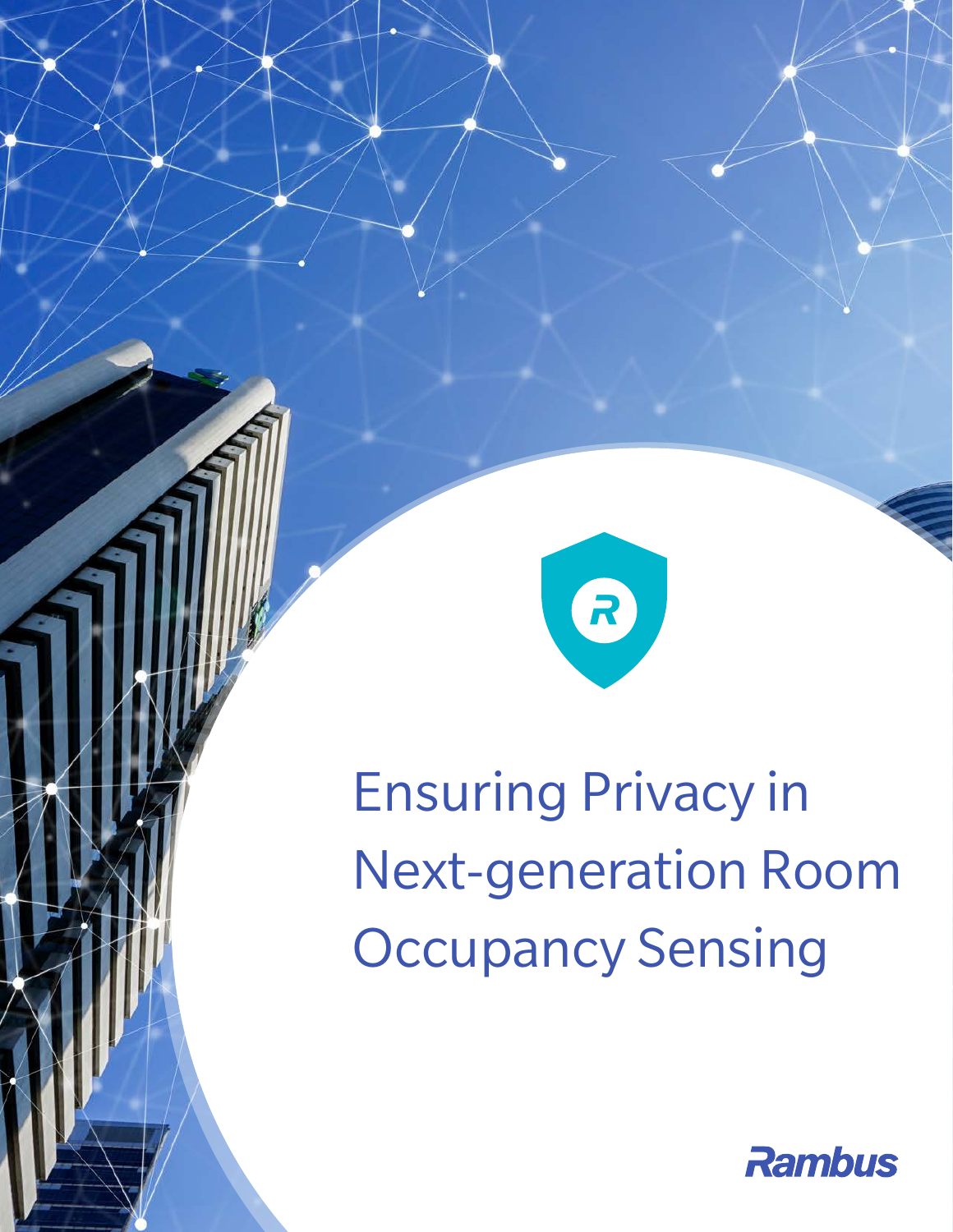

Ensuring Privacy in Next-generation Room **Occupancy Sensing** 

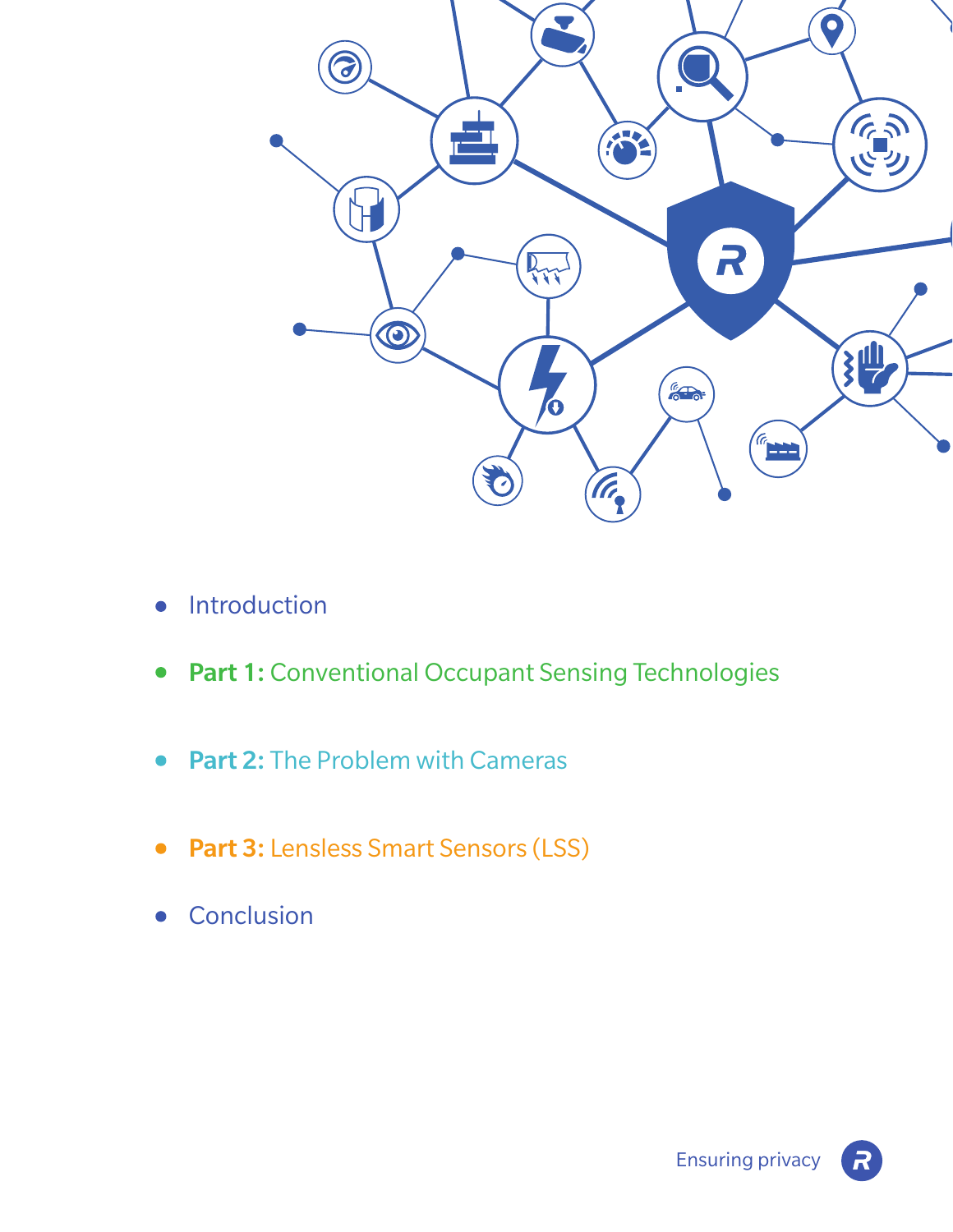

- Introduction  $\bullet$
- Part 1: Conventional Occupant Sensing Technologies  $\bullet$
- Part 2: The Problem with Cameras
- Part 3: Lensless Smart Sensors (LSS)  $\bullet$
- **Conclusion**  $\bullet$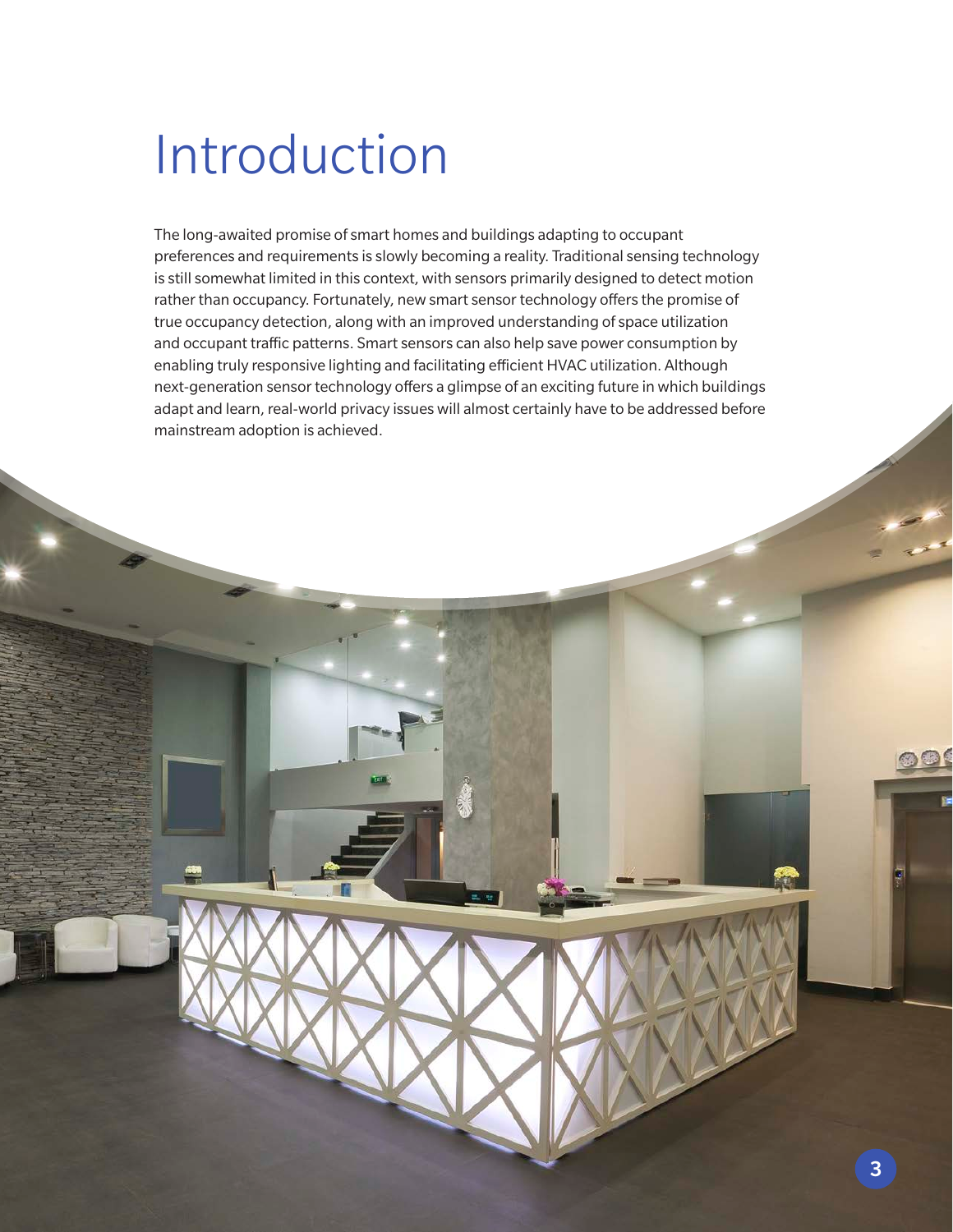# Introduction

The long-awaited promise of smart homes and buildings adapting to occupant preferences and requirements is slowly becoming a reality. Traditional sensing technology is still somewhat limited in this context, with sensors primarily designed to detect motion rather than occupancy. Fortunately, new smart sensor technology offers the promise of true occupancy detection, along with an improved understanding of space utilization and occupant traffic patterns. Smart sensors can also help save power consumption by enabling truly responsive lighting and facilitating efficient HVAC utilization. Although next-generation sensor technology offers a glimpse of an exciting future in which buildings adapt and learn, real-world privacy issues will almost certainly have to be addressed before mainstream adoption is achieved.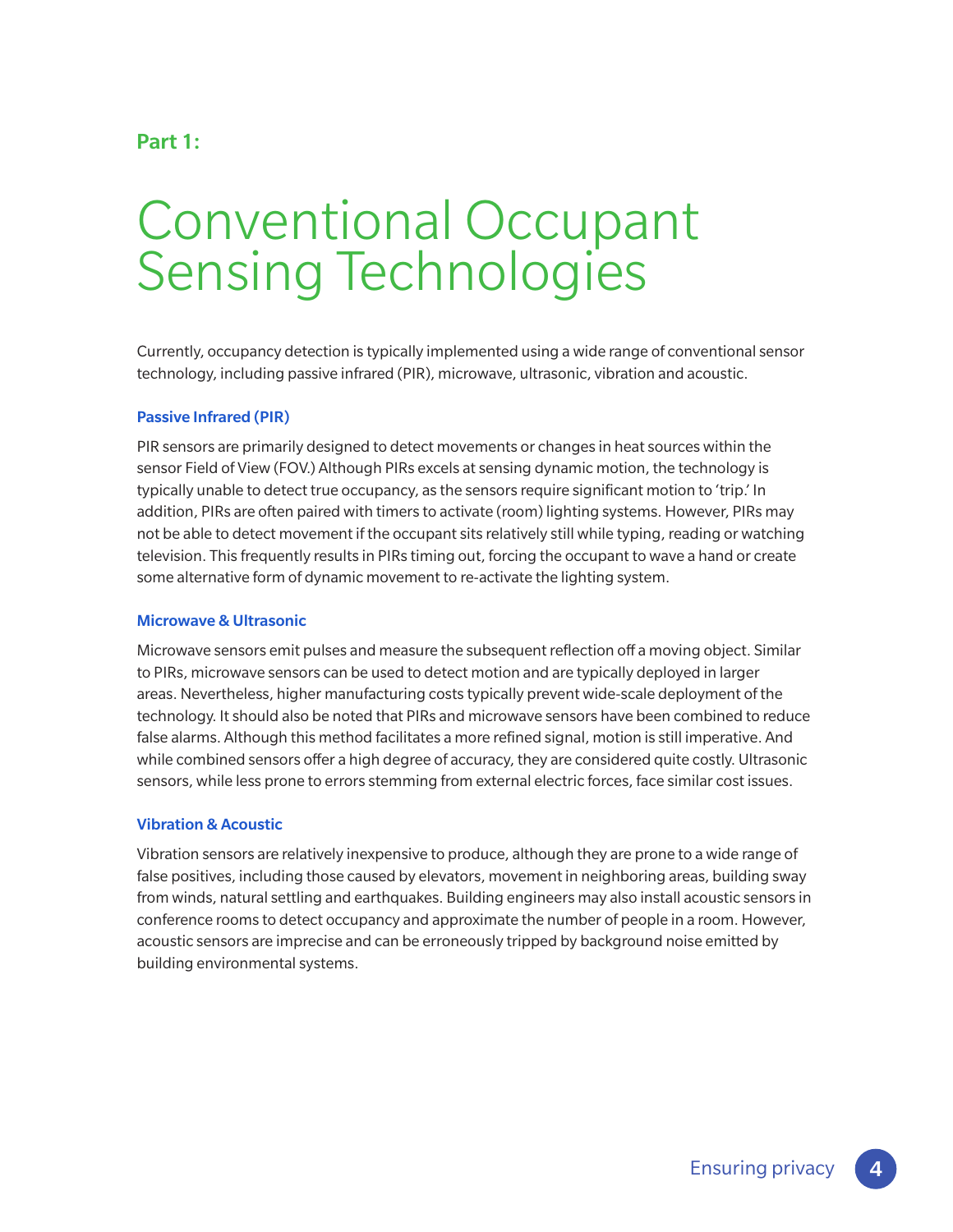### Part 1:

## Conventional Occupant Sensing Technologies

Currently, occupancy detection is typically implemented using a wide range of conventional sensor technology, including passive infrared (PIR), microwave, ultrasonic, vibration and acoustic.

### Passive Infrared (PIR)

PIR sensors are primarily designed to detect movements or changes in heat sources within the sensor Field of View (FOV.) Although PIRs excels at sensing dynamic motion, the technology is typically unable to detect true occupancy, as the sensors require significant motion to 'trip.' In addition, PIRs are often paired with timers to activate (room) lighting systems. However, PIRs may not be able to detect movement if the occupant sits relatively still while typing, reading or watching television. This frequently results in PIRs timing out, forcing the occupant to wave a hand or create some alternative form of dynamic movement to re-activate the lighting system.

#### Microwave & Ultrasonic

Microwave sensors emit pulses and measure the subsequent reflection off a moving object. Similar to PIRs, microwave sensors can be used to detect motion and are typically deployed in larger areas. Nevertheless, higher manufacturing costs typically prevent wide-scale deployment of the technology. It should also be noted that PIRs and microwave sensors have been combined to reduce false alarms. Although this method facilitates a more refined signal, motion is still imperative. And while combined sensors offer a high degree of accuracy, they are considered quite costly. Ultrasonic sensors, while less prone to errors stemming from external electric forces, face similar cost issues.

#### Vibration & Acoustic

Vibration sensors are relatively inexpensive to produce, although they are prone to a wide range of false positives, including those caused by elevators, movement in neighboring areas, building sway from winds, natural settling and earthquakes. Building engineers may also install acoustic sensors in conference rooms to detect occupancy and approximate the number of people in a room. However, acoustic sensors are imprecise and can be erroneously tripped by background noise emitted by building environmental systems.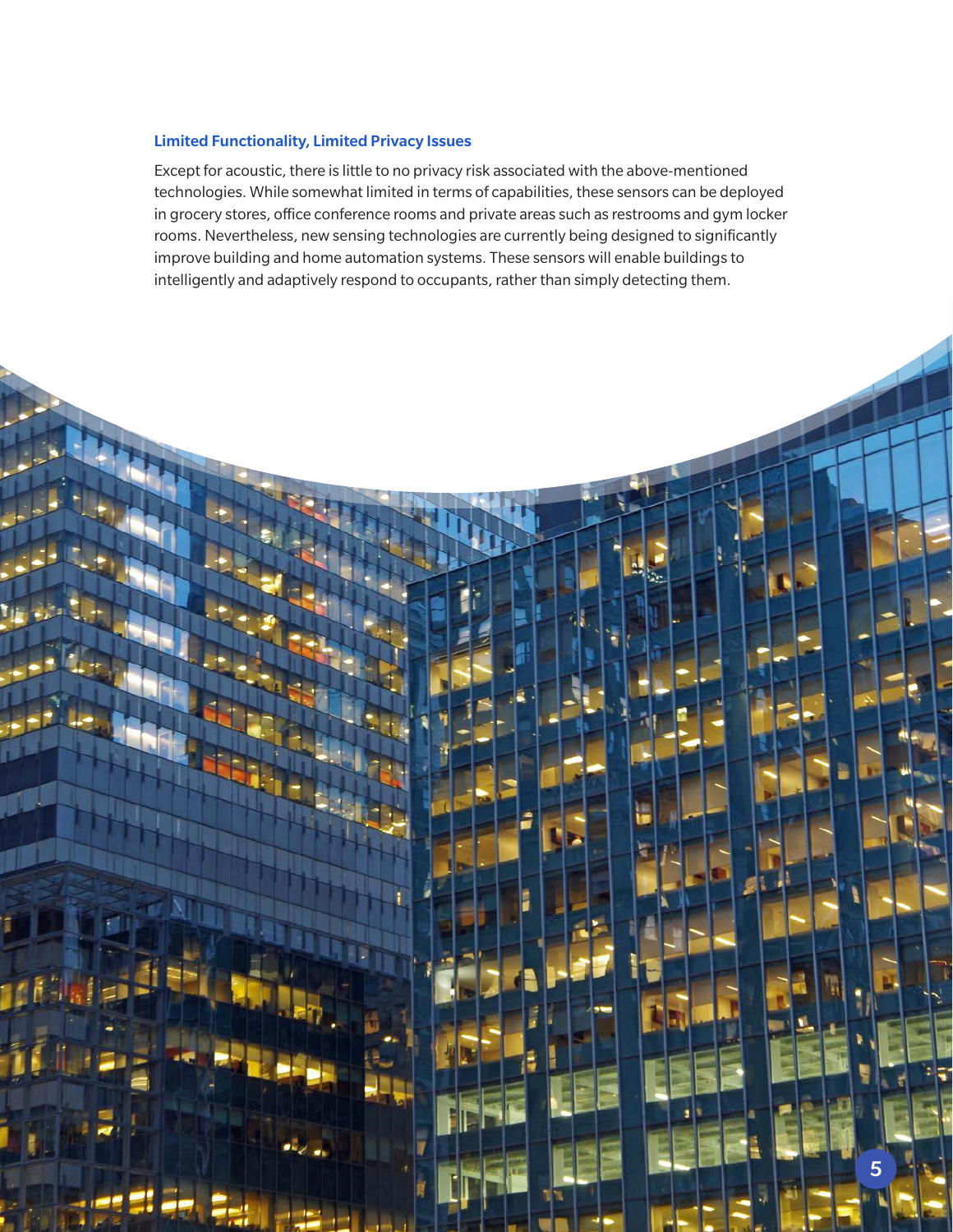### Limited Functionality, Limited Privacy Issues

Except for acoustic, there is little to no privacy risk associated with the above-mentioned technologies. While somewhat limited in terms of capabilities, these sensors can be deployed in grocery stores, office conference rooms and private areas such as restrooms and gym locker rooms. Nevertheless, new sensing technologies are currently being designed to significantly improve building and home automation systems. These sensors will enable buildings to intelligently and adaptively respond to occupants, rather than simply detecting them.

5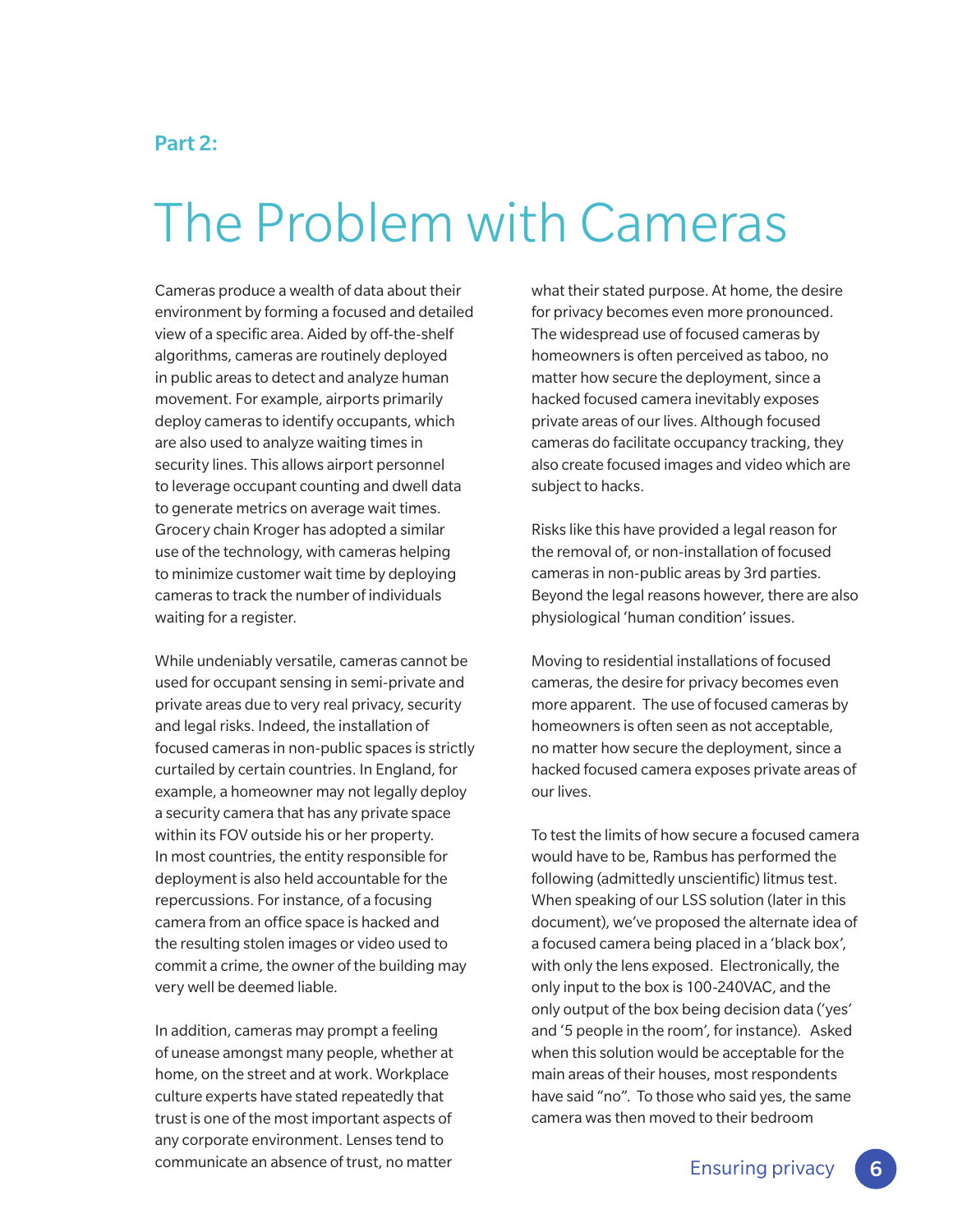## Part 2:

## The Problem with Cameras

Cameras produce a wealth of data about their environment by forming a focused and detailed view of a specific area. Aided by off-the-shelf algorithms, cameras are routinely deployed in public areas to detect and analyze human movement. For example, airports primarily deploy cameras to identify occupants, which are also used to analyze waiting times in security lines. This allows airport personnel to leverage occupant counting and dwell data to generate metrics on average wait times. Grocery chain Kroger has adopted a similar use of the technology, with cameras helping to minimize customer wait time by deploying cameras to track the number of individuals waiting for a register.

While undeniably versatile, cameras cannot be used for occupant sensing in semi-private and private areas due to very real privacy, security and legal risks. Indeed, the installation of focused cameras in non-public spaces is strictly curtailed by certain countries. In England, for example, a homeowner may not legally deploy a security camera that has any private space within its FOV outside his or her property. In most countries, the entity responsible for deployment is also held accountable for the repercussions. For instance, of a focusing camera from an office space is hacked and the resulting stolen images or video used to commit a crime, the owner of the building may very well be deemed liable.

In addition, cameras may prompt a feeling of unease amongst many people, whether at home, on the street and at work. Workplace culture experts have stated repeatedly that trust is one of the most important aspects of any corporate environment. Lenses tend to communicate an absence of trust, no matter

what their stated purpose. At home, the desire for privacy becomes even more pronounced. The widespread use of focused cameras by homeowners is often perceived as taboo, no matter how secure the deployment, since a hacked focused camera inevitably exposes private areas of our lives. Although focused cameras do facilitate occupancy tracking, they also create focused images and video which are subject to hacks.

Risks like this have provided a legal reason for the removal of, or non-installation of focused cameras in non-public areas by 3rd parties. Beyond the legal reasons however, there are also physiological 'human condition' issues.

Moving to residential installations of focused cameras, the desire for privacy becomes even more apparent. The use of focused cameras by homeowners is often seen as not acceptable, no matter how secure the deployment, since a hacked focused camera exposes private areas of our lives.

To test the limits of how secure a focused camera would have to be, Rambus has performed the following (admittedly unscientific) litmus test. When speaking of our LSS solution (later in this document), we've proposed the alternate idea of a focused camera being placed in a 'black box', with only the lens exposed. Electronically, the only input to the box is 100-240VAC, and the only output of the box being decision data ('yes' and '5 people in the room', for instance). Asked when this solution would be acceptable for the main areas of their houses, most respondents have said "no". To those who said yes, the same camera was then moved to their bedroom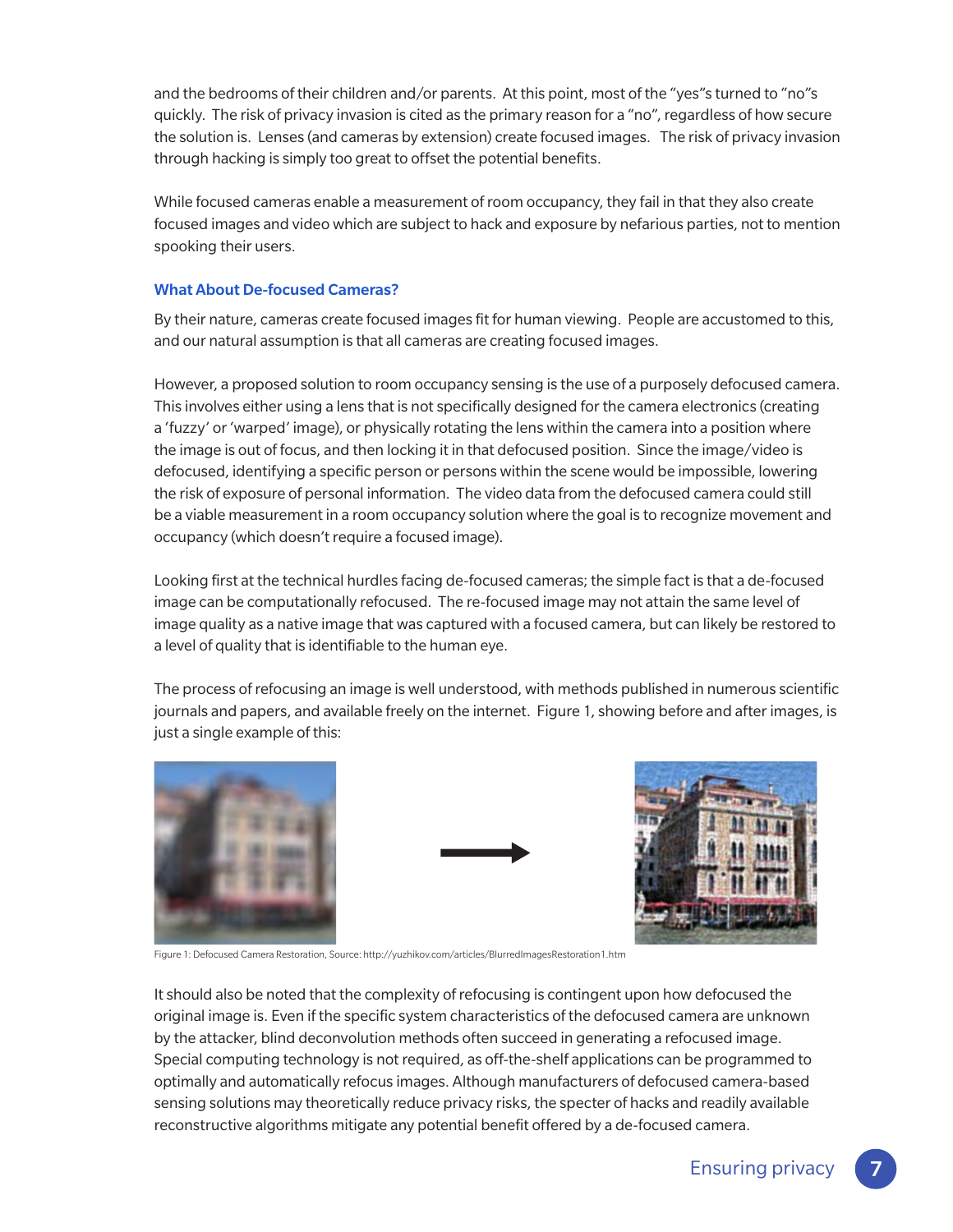and the bedrooms of their children and/or parents. At this point, most of the "yes"s turned to "no"s quickly. The risk of privacy invasion is cited as the primary reason for a "no", regardless of how secure the solution is. Lenses (and cameras by extension) create focused images. The risk of privacy invasion through hacking is simply too great to offset the potential benefits.

While focused cameras enable a measurement of room occupancy, they fail in that they also create focused images and video which are subject to hack and exposure by nefarious parties, not to mention spooking their users.

### What About De-focused Cameras?

By their nature, cameras create focused images fit for human viewing. People are accustomed to this, and our natural assumption is that all cameras are creating focused images.

However, a proposed solution to room occupancy sensing is the use of a purposely defocused camera. This involves either using a lens that is not specifically designed for the camera electronics (creating a 'fuzzy' or 'warped' image), or physically rotating the lens within the camera into a position where the image is out of focus, and then locking it in that defocused position. Since the image/video is defocused, identifying a specific person or persons within the scene would be impossible, lowering the risk of exposure of personal information. The video data from the defocused camera could still be a viable measurement in a room occupancy solution where the goal is to recognize movement and occupancy (which doesn't require a focused image).

Looking first at the technical hurdles facing de-focused cameras; the simple fact is that a de-focused image can be computationally refocused. The re-focused image may not attain the same level of image quality as a native image that was captured with a focused camera, but can likely be restored to a level of quality that is identifiable to the human eye.

The process of refocusing an image is well understood, with methods published in numerous scientific journals and papers, and available freely on the internet. Figure 1, showing before and after images, is just a single example of this:





Figure 1: Defocused Camera Restoration, Source: http://yuzhikov.com/articles/BlurredImagesRestoration1.htm

It should also be noted that the complexity of refocusing is contingent upon how defocused the original image is. Even if the specific system characteristics of the defocused camera are unknown by the attacker, blind deconvolution methods often succeed in generating a refocused image. Special computing technology is not required, as off-the-shelf applications can be programmed to optimally and automatically refocus images. Although manufacturers of defocused camera-based sensing solutions may theoretically reduce privacy risks, the specter of hacks and readily available reconstructive algorithms mitigate any potential benefit offered by a de-focused camera.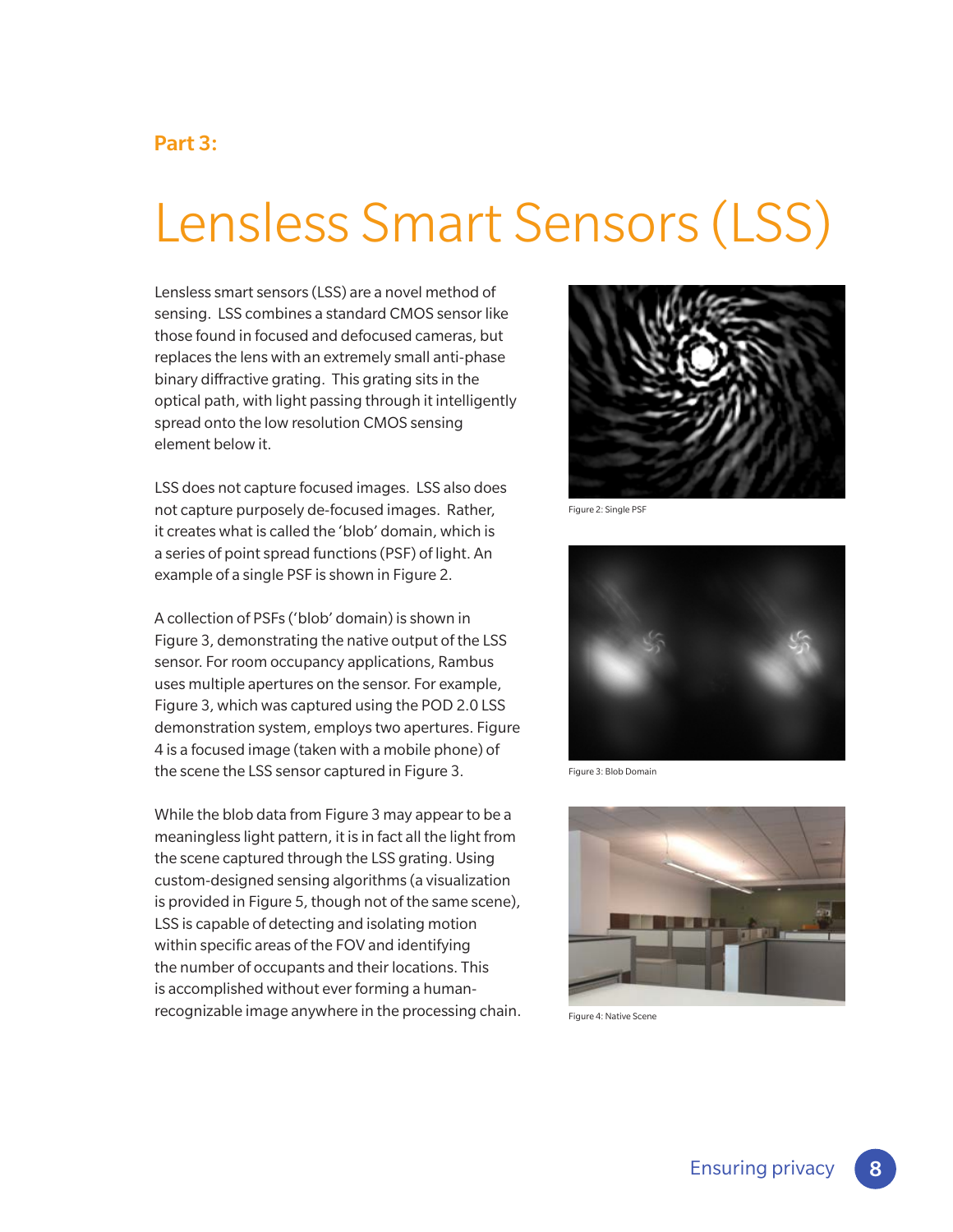### Part 3:

## Lensless Smart Sensors (LSS)

Lensless smart sensors (LSS) are a novel method of sensing. LSS combines a standard CMOS sensor like those found in focused and defocused cameras, but replaces the lens with an extremely small anti-phase binary diffractive grating. This grating sits in the optical path, with light passing through it intelligently spread onto the low resolution CMOS sensing element below it.

LSS does not capture focused images. LSS also does not capture purposely de-focused images. Rather, it creates what is called the 'blob' domain, which is a series of point spread functions (PSF) of light. An example of a single PSF is shown in Figure 2.

A collection of PSFs ('blob' domain) is shown in Figure 3, demonstrating the native output of the LSS sensor. For room occupancy applications, Rambus uses multiple apertures on the sensor. For example, Figure 3, which was captured using the POD 2.0 LSS demonstration system, employs two apertures. Figure 4 is a focused image (taken with a mobile phone) of the scene the LSS sensor captured in Figure 3.

While the blob data from Figure 3 may appear to be a meaningless light pattern, it is in fact all the light from the scene captured through the LSS grating. Using custom-designed sensing algorithms (a visualization is provided in Figure 5, though not of the same scene), LSS is capable of detecting and isolating motion within specific areas of the FOV and identifying the number of occupants and their locations. This is accomplished without ever forming a humanrecognizable image anywhere in the processing chain.



Figure 2: Single PSF



Figure 3: Blob Domain



Figure 4: Native Scene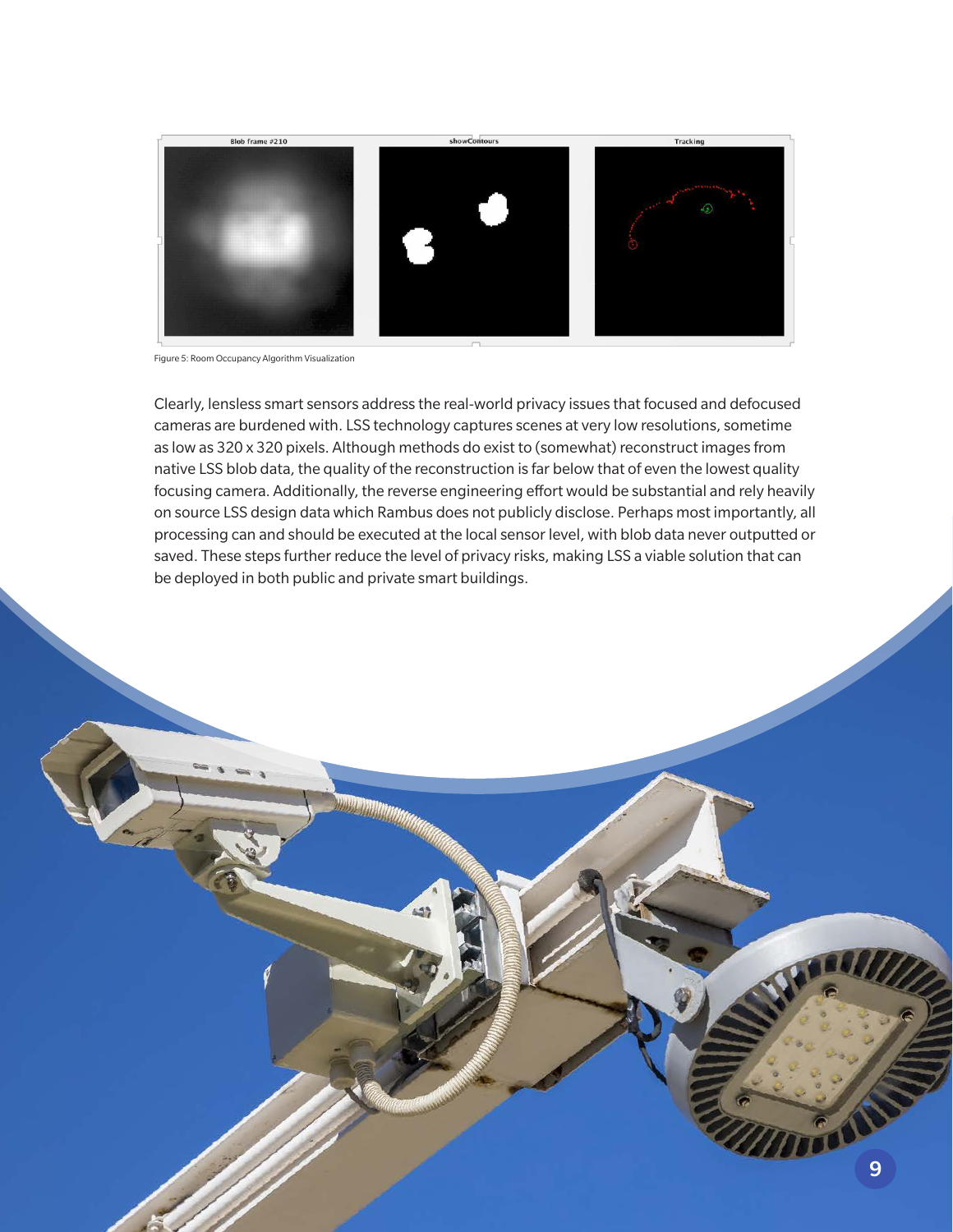

Figure 5: Room Occupancy Algorithm Visualization

Clearly, lensless smart sensors address the real-world privacy issues that focused and defocused cameras are burdened with. LSS technology captures scenes at very low resolutions, sometime as low as 320 x 320 pixels. Although methods do exist to (somewhat) reconstruct images from native LSS blob data, the quality of the reconstruction is far below that of even the lowest quality focusing camera. Additionally, the reverse engineering effort would be substantial and rely heavily on source LSS design data which Rambus does not publicly disclose. Perhaps most importantly, all processing can and should be executed at the local sensor level, with blob data never outputted or saved. These steps further reduce the level of privacy risks, making LSS a viable solution that can be deployed in both public and private smart buildings.